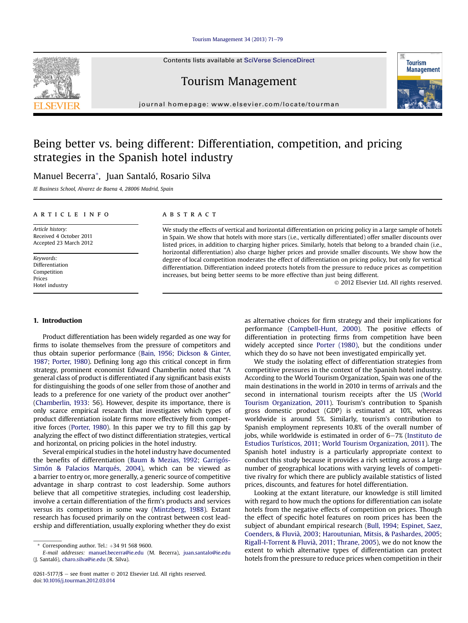#### Tourism Management 34 (2013)  $71-79$  $71-79$

Contents lists available at SciVerse ScienceDirect

## Tourism Management

journal homepage: [www.elsevier.com/locate/tourman](http://www.elsevier.com/locate/tourman)

## Being better vs. being different: Differentiation, competition, and pricing strategies in the Spanish hotel industry

### Manuel Becerra\*, Juan Santaló, Rosario Silva

IE Business School, Alvarez de Baena 4, 28006 Madrid, Spain

#### article info

Article history: Received 4 October 2011 Accepted 23 March 2012

Keywords: Differentiation Competition Prices Hotel industry

#### **ABSTRACT**

We study the effects of vertical and horizontal differentiation on pricing policy in a large sample of hotels in Spain. We show that hotels with more stars (i.e., vertically differentiated) offer smaller discounts over listed prices, in addition to charging higher prices. Similarly, hotels that belong to a branded chain (i.e., horizontal differentiation) also charge higher prices and provide smaller discounts. We show how the degree of local competition moderates the effect of differentiation on pricing policy, but only for vertical differentiation. Differentiation indeed protects hotels from the pressure to reduce prices as competition increases, but being better seems to be more effective than just being different.

2012 Elsevier Ltd. All rights reserved.

#### 1. Introduction

Product differentiation has been widely regarded as one way for firms to isolate themselves from the pressure of competitors and thus obtain superior performance [\(Bain, 1956](#page--1-0); [Dickson & Ginter,](#page--1-0) [1987;](#page--1-0) [Porter, 1980\)](#page--1-0). Defining long ago this critical concept in firm strategy, prominent economist Edward Chamberlin noted that "A general class of product is differentiated if any significant basis exists for distinguishing the goods of one seller from those of another and leads to a preference for one variety of the product over another" [\(Chamberlin, 1933](#page--1-0): 56). However, despite its importance, there is only scarce empirical research that investigates which types of product differentiation isolate firms more effectively from competitive forces ([Porter, 1980\)](#page--1-0). In this paper we try to fill this gap by analyzing the effect of two distinct differentiation strategies, vertical and horizontal, on pricing policies in the hotel industry.

Several empirical studies in the hotel industry have documented the benefits of differentiation ([Baum & Mezias, 1992](#page--1-0); [Garrigós-](#page--1-0)[Simón & Palacios Marqués, 2004](#page--1-0)), which can be viewed as a barrier to entry or, more generally, a generic source of competitive advantage in sharp contrast to cost leadership. Some authors believe that all competitive strategies, including cost leadership, involve a certain differentiation of the firm's products and services versus its competitors in some way ([Mintzberg, 1988](#page--1-0)). Extant research has focused primarily on the contrast between cost leadership and differentiation, usually exploring whether they do exist as alternative choices for firm strategy and their implications for performance ([Campbell-Hunt, 2000\)](#page--1-0). The positive effects of differentiation in protecting firms from competition have been widely accepted since [Porter \(1980\)](#page--1-0), but the conditions under which they do so have not been investigated empirically yet.

We study the isolating effect of differentiation strategies from competitive pressures in the context of the Spanish hotel industry. According to the World Tourism Organization, Spain was one of the main destinations in the world in 2010 in terms of arrivals and the second in international tourism receipts after the US [\(World](#page--1-0) [Tourism Organization, 2011\)](#page--1-0). Tourism's contribution to Spanish gross domestic product (GDP) is estimated at 10%, whereas worldwide is around 5%. Similarly, tourism's contribution to Spanish employment represents 10.8% of the overall number of jobs, while worldwide is estimated in order of  $6-7\%$  [\(Instituto de](#page--1-0) [Estudios Turísticos, 2011;](#page--1-0) [World Tourism Organization, 2011](#page--1-0)). The Spanish hotel industry is a particularly appropriate context to conduct this study because it provides a rich setting across a large number of geographical locations with varying levels of competitive rivalry for which there are publicly available statistics of listed prices, discounts, and features for hotel differentiation.

Looking at the extant literature, our knowledge is still limited with regard to how much the options for differentiation can isolate hotels from the negative effects of competition on prices. Though the effect of specific hotel features on room prices has been the subject of abundant empirical research [\(Bull, 1994;](#page--1-0) [Espinet, Saez,](#page--1-0) [Coenders, & Fluvià, 2003](#page--1-0); [Haroutunian, Mitsis, & Pashardes, 2005;](#page--1-0) [Rigall-I-Torrent & Fluvià, 2011](#page--1-0); [Thrane, 2005](#page--1-0)), we do not know the extent to which alternative types of differentiation can protect hotels from the pressure to reduce prices when competition in their





Corresponding author. Tel.:  $+34$  91 568 9600.

E-mail addresses: [manuel.becerra@ie.edu](mailto:manuel.becerra@ie.edu) (M. Becerra), [juan.santalo@ie.edu](mailto:juan.santalo@ie.edu) (J. Santaló), [charo.silva@ie.edu](mailto:charo.silva@ie.edu) (R. Silva).

<sup>0261-5177/\$</sup>  $-$  see front matter  $\odot$  2012 Elsevier Ltd. All rights reserved. doi[:10.1016/j.tourman.2012.03.014](http://dx.doi.org/10.1016/j.tourman.2012.03.014)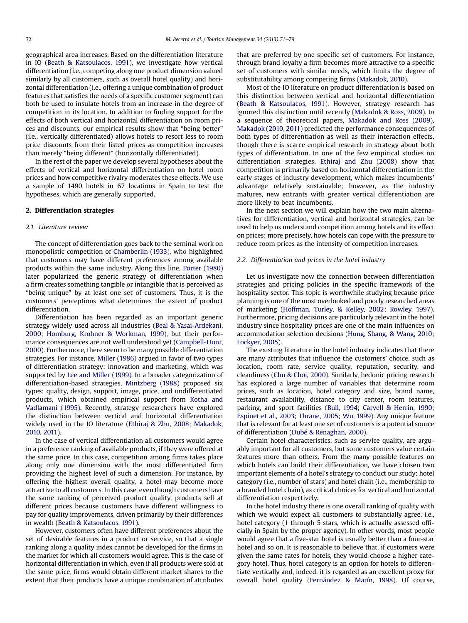geographical area increases. Based on the differentiation literature in IO [\(Beath & Katsoulacos, 1991\)](#page--1-0), we investigate how vertical differentiation (i.e., competing along one product dimension valued similarly by all customers, such as overall hotel quality) and horizontal differentiation (i.e., offering a unique combination of product features that satisfies the needs of a specific customer segment) can both be used to insulate hotels from an increase in the degree of competition in its location. In addition to finding support for the effects of both vertical and horizontal differentiation on room prices and discounts, our empirical results show that "being better" (i.e., vertically differentiated) allows hotels to resort less to room price discounts from their listed prices as competition increases than merely "being different" (horizontally differentiated).

In the rest of the paper we develop several hypotheses about the effects of vertical and horizontal differentiation on hotel room prices and how competitive rivalry moderates these effects. We use a sample of 1490 hotels in 67 locations in Spain to test the hypotheses, which are generally supported.

#### 2. Differentiation strategies

#### 2.1. Literature review

The concept of differentiation goes back to the seminal work on monopolistic competition of [Chamberlin \(1933\),](#page--1-0) who highlighted that customers may have different preferences among available products within the same industry. Along this line, [Porter \(1980\)](#page--1-0) later popularized the generic strategy of differentiation when a firm creates something tangible or intangible that is perceived as "being unique" by at least one set of customers. Thus, it is the customers' perceptions what determines the extent of product differentiation.

Differentiation has been regarded as an important generic strategy widely used across all industries ([Beal & Yasai-Ardekani,](#page--1-0) [2000](#page--1-0); [Homburg, Krohner & Workman, 1999\)](#page--1-0), but their performance consequences are not well understood yet [\(Campbell-Hunt,](#page--1-0) [2000](#page--1-0)). Furthermore, there seem to be many possible differentiation strategies. For instance, [Miller \(1986\)](#page--1-0) argued in favor of two types of differentiation strategy: innovation and marketing, which was supported by [Lee and Miller \(1999\)](#page--1-0). In a broader categorization of differentiation-based strategies, [Mintzberg \(1988\)](#page--1-0) proposed six types: quality, design, support, image, price, and undifferentiated products, which obtained empirical support from [Kotha and](#page--1-0) [Vadlamani \(1995\)](#page--1-0). Recently, strategy researchers have explored the distinction between vertical and horizontal differentiation widely used in the IO literature ([Ethiraj & Zhu, 2008;](#page--1-0) [Makadok,](#page--1-0) [2010](#page--1-0), [2011](#page--1-0)).

In the case of vertical differentiation all customers would agree in a preference ranking of available products, if they were offered at the same price. In this case, competition among firms takes place along only one dimension with the most differentiated firm providing the highest level of such a dimension. For instance, by offering the highest overall quality, a hotel may become more attractive to all customers. In this case, even though customers have the same ranking of perceived product quality, products sell at different prices because customers have different willingness to pay for quality improvements, driven primarily by their differences in wealth ([Beath & Katsoulacos, 1991\)](#page--1-0).

However, customers often have different preferences about the set of desirable features in a product or service, so that a single ranking along a quality index cannot be developed for the firms in the market for which all customers would agree. This is the case of horizontal differentiation in which, even if all products were sold at the same price, firms would obtain different market shares to the extent that their products have a unique combination of attributes that are preferred by one specific set of customers. For instance, through brand loyalty a firm becomes more attractive to a specific set of customers with similar needs, which limits the degree of substitutability among competing firms [\(Makadok, 2010\)](#page--1-0).

Most of the IO literature on product differentiation is based on this distinction between vertical and horizontal differentiation ([Beath & Katsoulacos, 1991\)](#page--1-0). However, strategy research has ignored this distinction until recently [\(Makadok & Ross, 2009\)](#page--1-0). In a sequence of theoretical papers, [Makadok and Ross \(2009\),](#page--1-0) [Makadok \(2010, 2011\)](#page--1-0) predicted the performance consequences of both types of differentiation as well as their interaction effects, though there is scarce empirical research in strategy about both types of differentiation. In one of the few empirical studies on differentiation strategies, [Ethiraj and Zhu \(2008\)](#page--1-0) show that competition is primarily based on horizontal differentiation in the early stages of industry development, which makes incumbents' advantage relatively sustainable; however, as the industry matures, new entrants with greater vertical differentiation are more likely to beat incumbents.

In the next section we will explain how the two main alternatives for differentiation, vertical and horizontal strategies, can be used to help us understand competition among hotels and its effect on prices; more precisely, how hotels can cope with the pressure to reduce room prices as the intensity of competition increases.

#### 2.2. Differentiation and prices in the hotel industry

Let us investigate now the connection between differentiation strategies and pricing policies in the specific framework of the hospitality sector. This topic is worthwhile studying because price planning is one of the most overlooked and poorly researched areas of marketing [\(Hoffman, Turley, & Kelley, 2002;](#page--1-0) [Rowley, 1997\)](#page--1-0). Furthermore, pricing decisions are particularly relevant in the hotel industry since hospitality prices are one of the main influences on accommodation selection decisions ([Hung, Shang, & Wang, 2010](#page--1-0); [Lockyer, 2005](#page--1-0)).

The existing literature in the hotel industry indicates that there are many attributes that influence the customers' choice, such as location, room rate, service quality, reputation, security, and cleanliness [\(Chu & Choi, 2000\)](#page--1-0). Similarly, hedonic pricing research has explored a large number of variables that determine room prices, such as location, hotel category and size, brand name, restaurant availability, distance to city center, room features, parking, and sport facilities ([Bull, 1994](#page--1-0); [Carvell & Herrin, 1990](#page--1-0); [Espinet et al., 2003;](#page--1-0) [Thrane, 2005;](#page--1-0) [Wu, 1999](#page--1-0)). Any unique feature that is relevant for at least one set of customers is a potential source of differentiation [\(Dubé & Renaghan, 2000\)](#page--1-0).

Certain hotel characteristics, such as service quality, are arguably important for all customers, but some customers value certain features more than others. From the many possible features on which hotels can build their differentiation, we have chosen two important elements of a hotel's strategy to conduct our study: hotel category (i.e., number of stars) and hotel chain (i.e., membership to a branded hotel chain), as critical choices for vertical and horizontal differentiation respectively.

In the hotel industry there is one overall ranking of quality with which we would expect all customers to substantially agree, i.e., hotel category (1 through 5 stars, which is actually assessed officially in Spain by the proper agency). In other words, most people would agree that a five-star hotel is usually better than a four-star hotel and so on. It is reasonable to believe that, if customers were given the same rates for hotels, they would choose a higher category hotel. Thus, hotel category is an option for hotels to differentiate vertically and, indeed, it is regarded as an excellent proxy for overall hotel quality [\(Fernández & Marín, 1998](#page--1-0)). Of course,